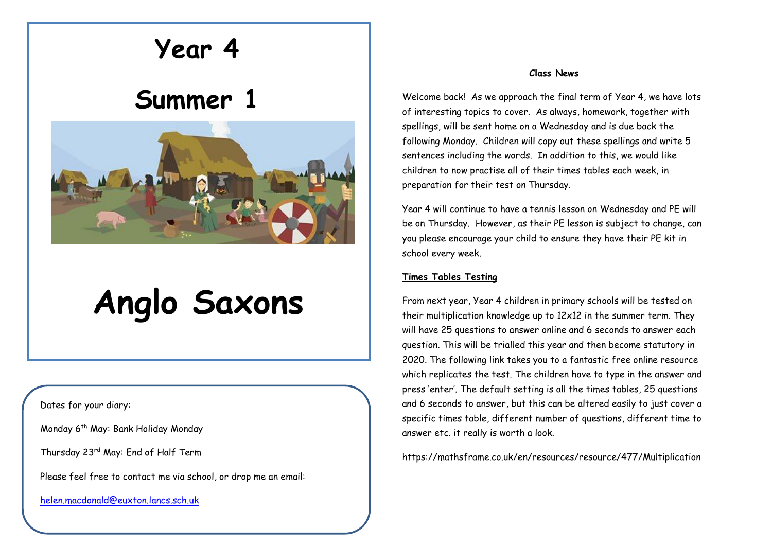# **Year 4**

# **Summer 1**



# **Anglo Saxons**

Dates for your diary:

Monday 6<sup>th</sup> May: Bank Holiday Monday

Thursday 23rd May: End of Half Term

Please feel free to contact me via school, or drop me an email:

[helen.macdonald@euxton.lancs.sch.uk](mailto:helen.macdonald@euxton.lancs.sch.uk)

# **Class News**

Welcome back! As we approach the final term of Year 4, we have lots of interesting topics to cover. As always, homework, together with spellings, will be sent home on a Wednesday and is due back the following Monday. Children will copy out these spellings and write 5 sentences including the words. In addition to this, we would like children to now practise all of their times tables each week, in preparation for their test on Thursday.

Year 4 will continue to have a tennis lesson on Wednesday and PE will be on Thursday. However, as their PE lesson is subject to change, can you please encourage your child to ensure they have their PE kit in school every week.

# **Times Tables Testing**

From next year, Year 4 children in primary schools will be tested on their multiplication knowledge up to 12x12 in the summer term. They will have 25 questions to answer online and 6 seconds to answer each question. This will be trialled this year and then become statutory in 2020. The following link takes you to a fantastic free online resource which replicates the test. The children have to type in the answer and press 'enter'. The default setting is all the times tables, 25 questions and 6 seconds to answer, but this can be altered easily to just cover a specific times table, different number of questions, different time to answer etc. it really is worth a look.

https://mathsframe.co.uk/en/resources/resource/477/Multiplication